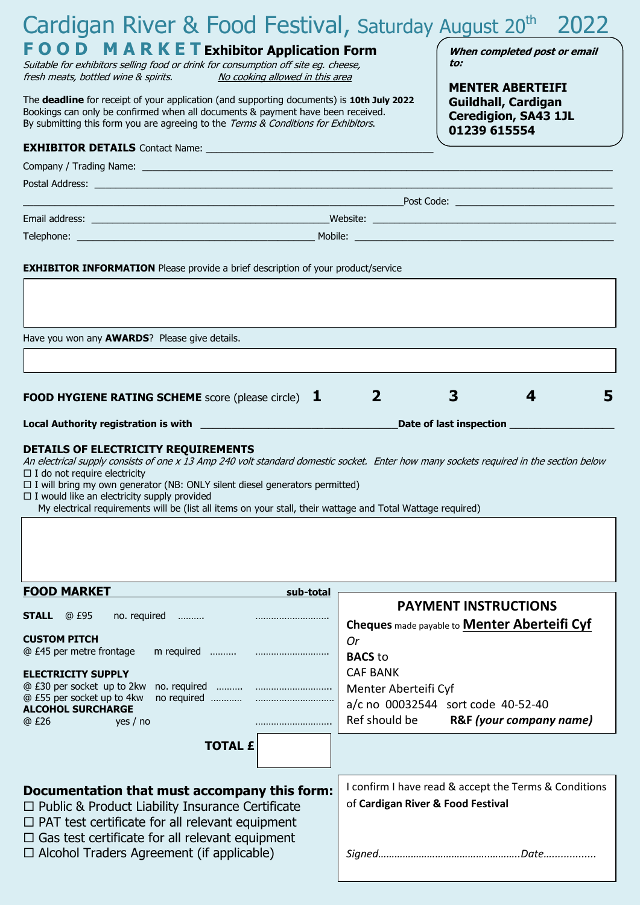| Cardigan River & Food Festival, Saturday August 20 <sup>th</sup>                                                                                                                                                                                                                                                                                                                                                                                                               |           |                                                                                            |                                                     | 2022 |
|--------------------------------------------------------------------------------------------------------------------------------------------------------------------------------------------------------------------------------------------------------------------------------------------------------------------------------------------------------------------------------------------------------------------------------------------------------------------------------|-----------|--------------------------------------------------------------------------------------------|-----------------------------------------------------|------|
| <b>FOOD MARKET Exhibitor Application Form</b><br>Suitable for exhibitors selling food or drink for consumption off site eg. cheese,<br>No cooking allowed in this area<br>fresh meats, bottled wine & spirits.                                                                                                                                                                                                                                                                 |           | When completed post or email<br>to:<br><b>MENTER ABERTEIFI</b>                             |                                                     |      |
| The deadline for receipt of your application (and supporting documents) is 10th July 2022<br>Bookings can only be confirmed when all documents & payment have been received.<br>By submitting this form you are agreeing to the Terms & Conditions for Exhibitors.                                                                                                                                                                                                             |           | <b>Guildhall, Cardigan</b><br><b>Ceredigion, SA43 1JL</b><br>01239 615554                  |                                                     |      |
|                                                                                                                                                                                                                                                                                                                                                                                                                                                                                |           |                                                                                            |                                                     |      |
|                                                                                                                                                                                                                                                                                                                                                                                                                                                                                |           |                                                                                            |                                                     |      |
|                                                                                                                                                                                                                                                                                                                                                                                                                                                                                |           |                                                                                            |                                                     |      |
|                                                                                                                                                                                                                                                                                                                                                                                                                                                                                |           |                                                                                            |                                                     |      |
|                                                                                                                                                                                                                                                                                                                                                                                                                                                                                |           |                                                                                            |                                                     |      |
|                                                                                                                                                                                                                                                                                                                                                                                                                                                                                |           |                                                                                            |                                                     |      |
| <b>EXHIBITOR INFORMATION</b> Please provide a brief description of your product/service                                                                                                                                                                                                                                                                                                                                                                                        |           |                                                                                            |                                                     |      |
|                                                                                                                                                                                                                                                                                                                                                                                                                                                                                |           |                                                                                            |                                                     |      |
|                                                                                                                                                                                                                                                                                                                                                                                                                                                                                |           |                                                                                            |                                                     |      |
|                                                                                                                                                                                                                                                                                                                                                                                                                                                                                |           |                                                                                            |                                                     |      |
| Have you won any <b>AWARDS</b> ? Please give details.                                                                                                                                                                                                                                                                                                                                                                                                                          |           |                                                                                            |                                                     |      |
|                                                                                                                                                                                                                                                                                                                                                                                                                                                                                |           |                                                                                            |                                                     |      |
|                                                                                                                                                                                                                                                                                                                                                                                                                                                                                |           |                                                                                            |                                                     |      |
| <b>FOOD HYGIENE RATING SCHEME</b> score (please circle) $\bf{1}$                                                                                                                                                                                                                                                                                                                                                                                                               |           | $\overline{2}$                                                                             | 3<br>4                                              | 5    |
|                                                                                                                                                                                                                                                                                                                                                                                                                                                                                |           |                                                                                            | Date of last inspection ____                        |      |
| DETAILS OF ELECTRICITY REQUIREMENTS<br>An electrical supply consists of one x 13 Amp 240 volt standard domestic socket. Enter how many sockets required in the section below<br>$\Box$ I do not require electricity<br>$\Box$ I will bring my own generator (NB: ONLY silent diesel generators permitted)<br>$\Box$ I would like an electricity supply provided<br>My electrical requirements will be (list all items on your stall, their wattage and Total Wattage required) |           |                                                                                            |                                                     |      |
| <b>FOOD MARKET</b>                                                                                                                                                                                                                                                                                                                                                                                                                                                             | sub-total |                                                                                            |                                                     |      |
| <b>STALL</b><br>@ £95<br>no. required                                                                                                                                                                                                                                                                                                                                                                                                                                          |           |                                                                                            | <b>PAYMENT INSTRUCTIONS</b>                         |      |
| <b>CUSTOM PITCH</b>                                                                                                                                                                                                                                                                                                                                                                                                                                                            |           |                                                                                            | Cheques made payable to <b>Menter Aberteifi Cyf</b> |      |
| @ £45 per metre frontage                                                                                                                                                                                                                                                                                                                                                                                                                                                       |           | Or<br><b>BACS</b> to                                                                       |                                                     |      |
| <b>ELECTRICITY SUPPLY</b>                                                                                                                                                                                                                                                                                                                                                                                                                                                      |           | <b>CAF BANK</b>                                                                            |                                                     |      |
| @ £30 per socket up to 2kw                                                                                                                                                                                                                                                                                                                                                                                                                                                     |           | Menter Aberteifi Cyf                                                                       |                                                     |      |
| @ £55 per socket up to 4kw<br><b>ALCOHOL SURCHARGE</b>                                                                                                                                                                                                                                                                                                                                                                                                                         |           |                                                                                            | a/c no 00032544 sort code 40-52-40                  |      |
| @ £26<br>yes / no                                                                                                                                                                                                                                                                                                                                                                                                                                                              |           | Ref should be                                                                              | R&F (your company name)                             |      |
| <b>TOTAL £</b>                                                                                                                                                                                                                                                                                                                                                                                                                                                                 |           |                                                                                            |                                                     |      |
| Documentation that must accompany this form:<br>$\Box$ Public & Product Liability Insurance Certificate<br>$\Box$ PAT test certificate for all relevant equipment<br>$\Box$ Gas test certificate for all relevant equipment<br>$\Box$ Alcohol Traders Agreement (if applicable)                                                                                                                                                                                                |           | I confirm I have read & accept the Terms & Conditions<br>of Cardigan River & Food Festival |                                                     |      |
|                                                                                                                                                                                                                                                                                                                                                                                                                                                                                |           |                                                                                            |                                                     |      |